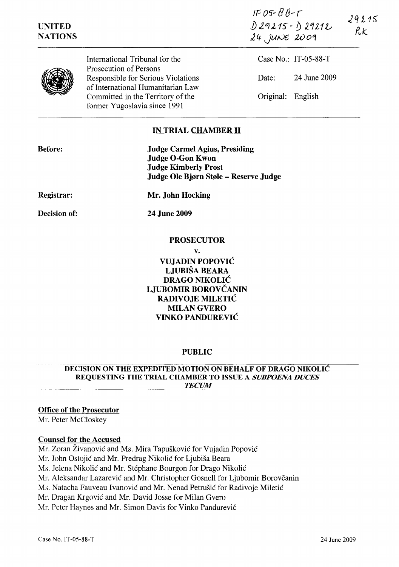IF 0" *B* fj-*r*   $29215$ *]).2<1,215"- j) 2.'1212..,;*   $R$ K  $24$ , JUNE 2009

# UNITED **NATIONS**



International Tribunal for the Prosecution of Persons Responsible for Serious Violations of International Humanitarian Law Committed in the Territory of the former Yugoslavia since 1991

Case No.: IT-05-88-T Date: 24 June 2009 Original: English

## IN TRIAL CHAMBER II

| <b>Before:</b>    | <b>Judge Carmel Agius, Presiding</b><br><b>Judge O-Gon Kwon</b><br><b>Judge Kimberly Prost</b><br>Judge Ole Bjørn Støle – Reserve Judge |
|-------------------|-----------------------------------------------------------------------------------------------------------------------------------------|
| <b>Registrar:</b> | Mr. John Hocking                                                                                                                        |
| Decision of:      | <b>24 June 2009</b>                                                                                                                     |

### PROSECUTOR

v.

VUJADIN POPOVIC LJUBISA BEARA DRAGO NIKOLIC LJUBOMIR BOROVČANIN RADIVOJE MILETIC MILAN GVERO VINKO PANDUREVIC

## PUBLIC

#### DECISION ON THE EXPEDITED MOTION ON BEHALF OF DRAGO NIKOLIC REQUESTING THE TRIAL CHAMBER TO ISSUE A SUBPOENA DUCES **TECUM**

## Office of the Prosecutor

Mr. Peter McCloskey

### Counsel for the Accused

Mr. Zoran Živanović and Ms. Mira Tapušković for Vujadin Popović

Mr. John Ostojić and Mr. Predrag Nikolić for Ljubiša Beara

Ms. Jelena Nikolic and Mr. Stephane Bourgon for Drago Nikolic

Mr. Aleksandar Lazarević and Mr. Christopher Gosnell for Ljubomir Borovčanin

Ms. Natacha Fauveau Ivanović and Mr. Nenad Petrušić for Radivoje Miletić

Mr. Dragan Krgovic and Mr. David Josse for Milan Gvero

Mr. Peter Haynes and Mr. Simon Davis for Vinko Pandurević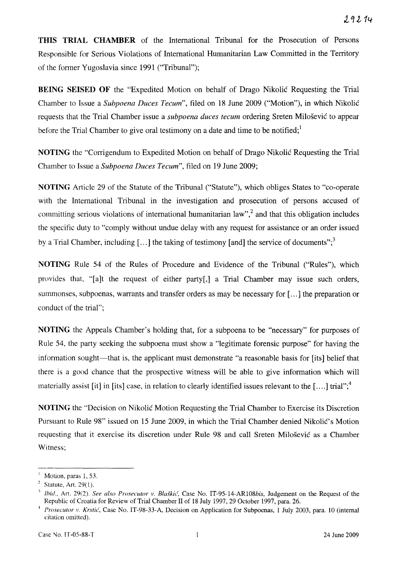**THIS TRIAL CHAMBER** of the International Tribunal for the Prosecution of Persons Responsible for Serious Violations of International Humanitarian Law Committed in the Territory of the former Yugoslavia since 1991 ("Tribunal");

**BEING SEISED OF** the "Expedited Motion on behalf of Drago Nikolic Requesting the Trial Chamber to Issue a *Subpoena Duces Tecum",* filed on 18 June 2009 ("Motion"), in which Nikolic requests that the Trial Chamber issue a *subpoena duces tecum* ordering Sreten Milosevic to appear before the Trial Chamber to give oral testimony on a date and time to be notified;<sup>1</sup>

**NOTING** the "Corrigendum to Expedited Motion on behalf of Drago Nikolic Requesting the Trial Chamber to Issue a *Subpoena Duces Tecum",* filed on 19 June 2009;

**NOTING** Article 29 of the Statute of the Tribunal ("Statute"), which obliges States to "co-operate with the International Tribunal in the investigation and prosecution of persons accused of committing serious violations of international humanitarian law",<sup>2</sup> and that this obligation includes the specific duty to "comply without undue delay with any request for assistance or an order issued by a Trial Chamber, including  $[\,\ldots]$  the taking of testimony [and] the service of documents";<sup>3</sup>

**NOTING** Rule 54 of the Rules of Procedure and Evidence of the Tribunal ("Rules"), which provides that, "[a]t the request of either party[,] a Trial Chamber may issue such orders, summonses, subpoenas, warrants and transfer orders as may be necessary for [ ... ] the preparation or conduct of the trial";

**NOTING** the Appeals Chamber's holding that, for a subpoena to be "necessary" for purposes of Rule 54, the party seeking the subpoena must show a "legitimate forensic purpose" for having the information sought—that is, the applicant must demonstrate "a reasonable basis for [its] belief that there is a good chance that the prospective witness will be able to give information which will materially assist [it] in [its] case, in relation to clearly identified issues relevant to the [....] trial";<sup>4</sup>

**NOTING** the "Decision on Nikolic Motion Requesting the Trial Chamber to Exercise its Discretion Pursuant to Rule 98" issued on 15 June 2009, in which the Trial Chamber denied Nikolić's Motion requesting that it exercise its discretion under Rule 98 and call Sreten Milosevic as a Chamber Witness;

Motion, paras 1, 53.

Statute, Art. 29(1).

*lhid.*, Art. 29(2). See also Prosecutor v. Blaškic, Case No. IT-95-14-AR108bis, Judgement on the Request of the Republic of Croatia for Review of Trial Chamber II of 18 July 1997, 29 October 1997, para. 26.

<sup>~</sup>*Prosecutor v. Krstic,* Case No. IT-98-33-A, Decision on Application for Subpoenas, 1 July 2003, para. 10 (internal citation omitted).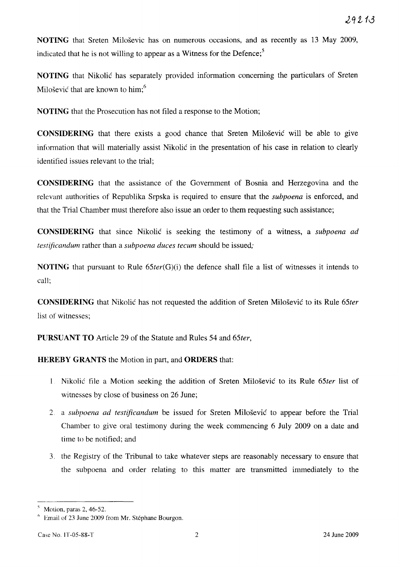**NOTING** that Sreten Milosevic has on numerous occasions, and as recently as 13 May 2009, indicated that he is not willing to appear as a Witness for the Defence;<sup>5</sup>

**NOTING** that Nikolic has separately provided information concerning the particulars of Sreten Milošević that are known to him;<sup>6</sup>

**NOTING** that the Prosecution has not filed a response to the Motion;

**CONSIDERING** that there exists a good chance that Sreten Miloševic will be able to give information that will materially assist Nikolic in the presentation of his case in relation to clearly identified issues relevant to the trial;

**CONSIDERING** that the assistance of the Government of Bosnia and Herzegovina and the relevant authorities of Republika Srpska is required to ensure that the *subpoena* is enforced, and that the Trial Chamber must therefore also issue an order to them requesting such assistance;

**CONSIDERING** that since Nikolic is seeking the testimony of a witness, a *subpoena ad testificandum* rather than a *subpoena duces tecum* should be issued;

**NOTING** that pursuant to Rule *65ter(G)(i)* the defence shall file a list of witnesses it intends to call;

**CONSIDERING** that Nikolic has not requested the addition of Sreten Milosevic to its Rule *65ter*  list of witnesses;

**PURSUANT TO** Article 29 of the Statute and Rules 54 and *65ter,* 

**HEREBY GRANTS** the Motion in part, and **ORDERS** that:

- Nikolic file a Motion seeking the addition of Sreten Milosevic to its Rule *65ter* list of witnesses by close of business on 26 June;
- 2. a *subpoena ad testificandum* be issued for Sreten Milosevic to appear before the Trial Chamber to give oral testimony during the week commencing 6 July 2009 on a date and time to be notified; and
- 3. the Registry of the Tribunal to take whatever steps are reasonably necessary to ensure that the subpoena and order relating to this matter are transmitted immediately to the

 $<sup>5</sup>$  Motion, paras 2, 46-52.</sup>

*Hemail of 23 June 2009 from Mr. Stephane Bourgon.*